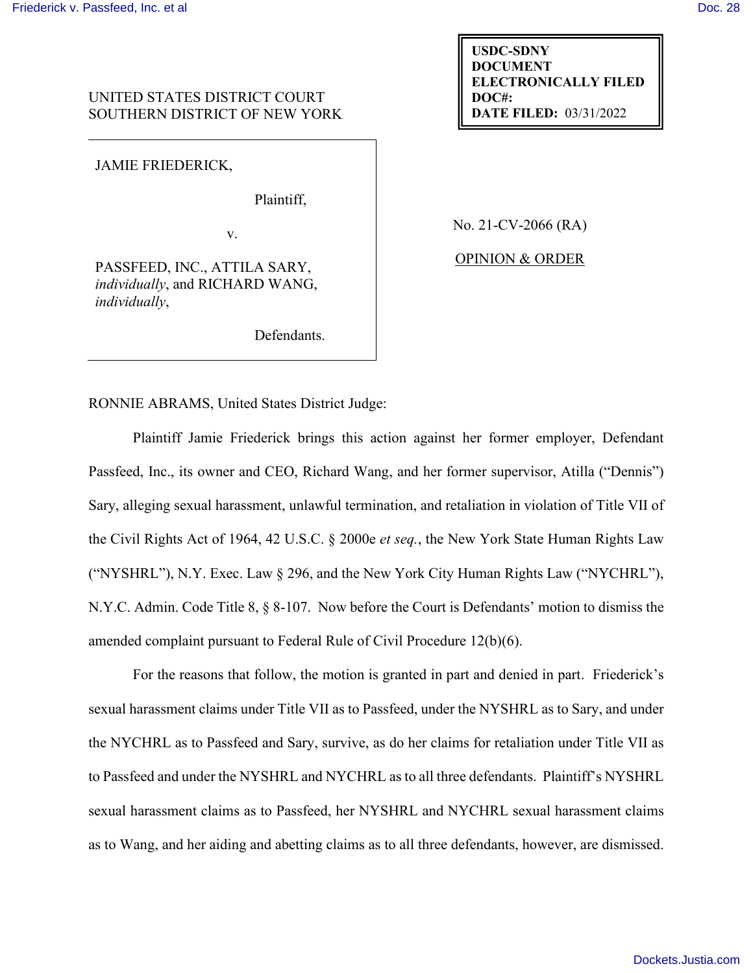# UNITED STATES DISTRICT COURT SOUTHERN DISTRICT OF NEW YORK

JAMIE FRIEDERICK,

Plaintiff,

v.

PASSFEED, INC., ATTILA SARY, *individually*, and RICHARD WANG, *individually*,

Defendants.

No. 21-CV-2066 (RA)

**USDC-SDNY DOCUMENT**

**DOC#:** 

**ELECTRONICALLY FILED**

**DATE FILED:** 03/31/2022

OPINION & ORDER

RONNIE ABRAMS, United States District Judge:

Plaintiff Jamie Friederick brings this action against her former employer, Defendant Passfeed, Inc., its owner and CEO, Richard Wang, and her former supervisor, Atilla ("Dennis") Sary, alleging sexual harassment, unlawful termination, and retaliation in violation of Title VII of the Civil Rights Act of 1964, 42 U.S.C. § 2000e *et seq.*, the New York State Human Rights Law ("NYSHRL"), N.Y. Exec. Law § 296, and the New York City Human Rights Law ("NYCHRL"), N.Y.C. Admin. Code Title 8, § 8-107. Now before the Court is Defendants' motion to dismiss the amended complaint pursuant to Federal Rule of Civil Procedure 12(b)(6).

For the reasons that follow, the motion is granted in part and denied in part. Friederick's sexual harassment claims under Title VII as to Passfeed, under the NYSHRL as to Sary, and under the NYCHRL as to Passfeed and Sary, survive, as do her claims for retaliation under Title VII as to Passfeed and under the NYSHRL and NYCHRL as to all three defendants. Plaintiff's NYSHRL sexual harassment claims as to Passfeed, her NYSHRL and NYCHRL sexual harassment claims as to Wang, and her aiding and abetting claims as to all three defendants, however, are dismissed.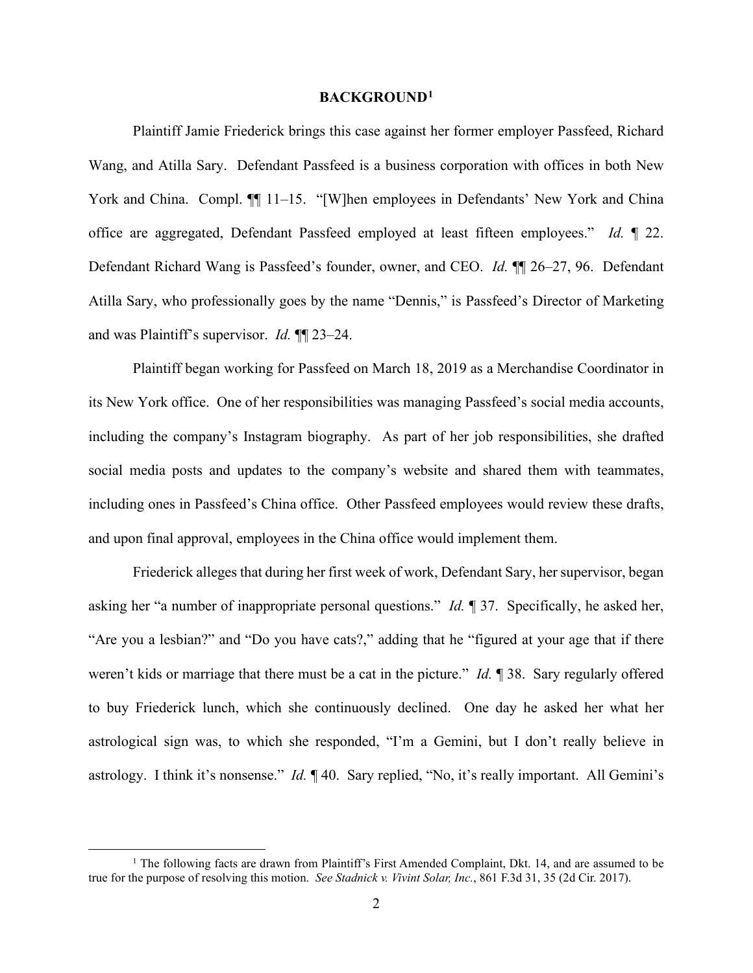### **BACKGROUND[1](#page-1-0)**

Plaintiff Jamie Friederick brings this case against her former employer Passfeed, Richard Wang, and Atilla Sary. Defendant Passfeed is a business corporation with offices in both New York and China. Compl.  $\P$  11–15. "[W]hen employees in Defendants' New York and China office are aggregated, Defendant Passfeed employed at least fifteen employees." *Id.* ¶ 22. Defendant Richard Wang is Passfeed's founder, owner, and CEO. *Id.* ¶¶ 26–27, 96. Defendant Atilla Sary, who professionally goes by the name "Dennis," is Passfeed's Director of Marketing and was Plaintiff's supervisor. *Id.* ¶¶ 23–24.

Plaintiff began working for Passfeed on March 18, 2019 as a Merchandise Coordinator in its New York office. One of her responsibilities was managing Passfeed's social media accounts, including the company's Instagram biography. As part of her job responsibilities, she drafted social media posts and updates to the company's website and shared them with teammates, including ones in Passfeed's China office. Other Passfeed employees would review these drafts, and upon final approval, employees in the China office would implement them.

Friederick alleges that during her first week of work, Defendant Sary, her supervisor, began asking her "a number of inappropriate personal questions." *Id.* ¶ 37. Specifically, he asked her, "Are you a lesbian?" and "Do you have cats?," adding that he "figured at your age that if there weren't kids or marriage that there must be a cat in the picture." *Id.* ¶ 38. Sary regularly offered to buy Friederick lunch, which she continuously declined. One day he asked her what her astrological sign was, to which she responded, "I'm a Gemini, but I don't really believe in astrology. I think it's nonsense." *Id.* ¶ 40. Sary replied, "No, it's really important. All Gemini's

<span id="page-1-0"></span><sup>&</sup>lt;sup>1</sup> The following facts are drawn from Plaintiff's First Amended Complaint, Dkt. 14, and are assumed to be true for the purpose of resolving this motion. *See Stadnick v. Vivint Solar, Inc.*, 861 F.3d 31, 35 (2d Cir. 2017).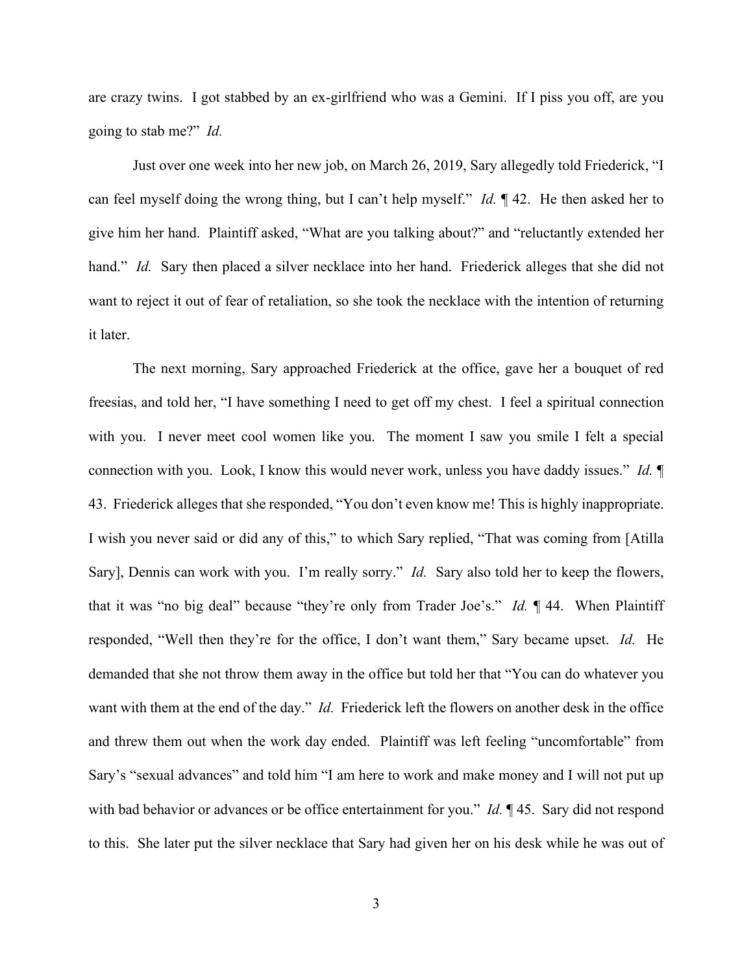are crazy twins. I got stabbed by an ex-girlfriend who was a Gemini. If I piss you off, are you going to stab me?" *Id.*

Just over one week into her new job, on March 26, 2019, Sary allegedly told Friederick, "I can feel myself doing the wrong thing, but I can't help myself." *Id.* ¶ 42. He then asked her to give him her hand. Plaintiff asked, "What are you talking about?" and "reluctantly extended her hand." *Id.* Sary then placed a silver necklace into her hand. Friederick alleges that she did not want to reject it out of fear of retaliation, so she took the necklace with the intention of returning it later.

The next morning, Sary approached Friederick at the office, gave her a bouquet of red freesias, and told her, "I have something I need to get off my chest. I feel a spiritual connection with you. I never meet cool women like you. The moment I saw you smile I felt a special connection with you. Look, I know this would never work, unless you have daddy issues." *Id.* ¶ 43. Friederick alleges that she responded, "You don't even know me! This is highly inappropriate. I wish you never said or did any of this," to which Sary replied, "That was coming from [Atilla Sary], Dennis can work with you. I'm really sorry." *Id.* Sary also told her to keep the flowers, that it was "no big deal" because "they're only from Trader Joe's." *Id.* ¶ 44.When Plaintiff responded, "Well then they're for the office, I don't want them," Sary became upset. *Id.* He demanded that she not throw them away in the office but told her that "You can do whatever you want with them at the end of the day." *Id.* Friederick left the flowers on another desk in the office and threw them out when the work day ended. Plaintiff was left feeling "uncomfortable" from Sary's "sexual advances" and told him "I am here to work and make money and I will not put up with bad behavior or advances or be office entertainment for you." *Id.* ¶ 45. Sary did not respond to this. She later put the silver necklace that Sary had given her on his desk while he was out of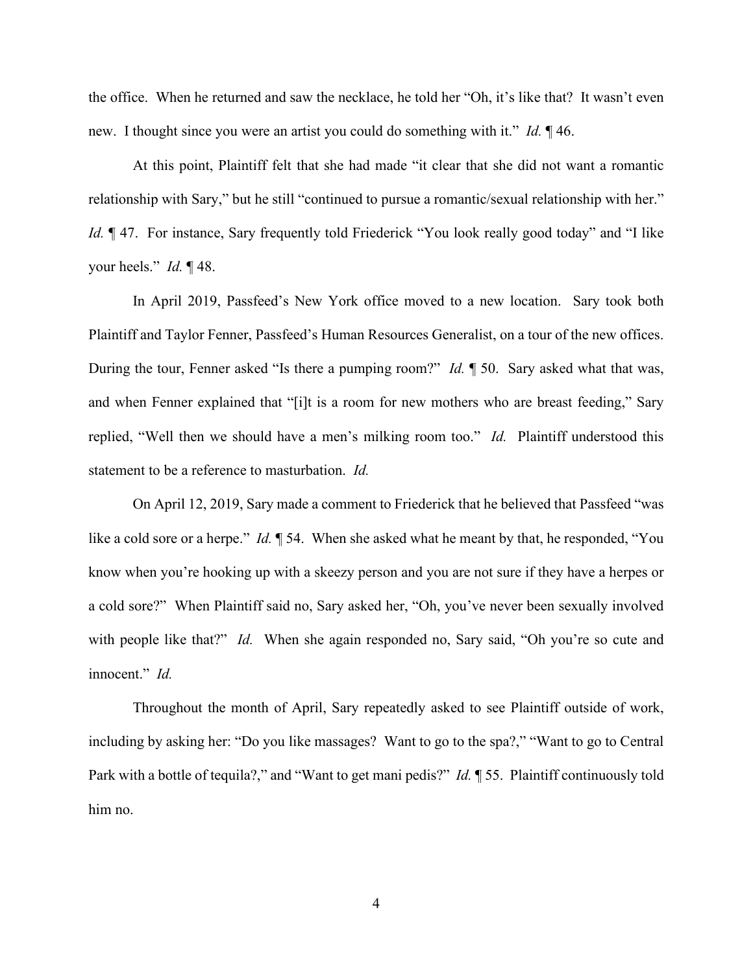the office. When he returned and saw the necklace, he told her "Oh, it's like that? It wasn't even new. I thought since you were an artist you could do something with it." *Id.* ¶ 46.

At this point, Plaintiff felt that she had made "it clear that she did not want a romantic relationship with Sary," but he still "continued to pursue a romantic/sexual relationship with her." *Id.*  $\parallel$  47. For instance, Sary frequently told Friederick "You look really good today" and "I like your heels." *Id.* ¶ 48.

In April 2019, Passfeed's New York office moved to a new location. Sary took both Plaintiff and Taylor Fenner, Passfeed's Human Resources Generalist, on a tour of the new offices. During the tour, Fenner asked "Is there a pumping room?" *Id.* ¶ 50. Sary asked what that was, and when Fenner explained that "[i]t is a room for new mothers who are breast feeding," Sary replied, "Well then we should have a men's milking room too." *Id.* Plaintiff understood this statement to be a reference to masturbation. *Id.*

On April 12, 2019, Sary made a comment to Friederick that he believed that Passfeed "was like a cold sore or a herpe." *Id.* ¶ 54. When she asked what he meant by that, he responded, "You know when you're hooking up with a skeezy person and you are not sure if they have a herpes or a cold sore?" When Plaintiff said no, Sary asked her, "Oh, you've never been sexually involved with people like that?" *Id.* When she again responded no, Sary said, "Oh you're so cute and innocent." *Id.*

Throughout the month of April, Sary repeatedly asked to see Plaintiff outside of work, including by asking her: "Do you like massages? Want to go to the spa?," "Want to go to Central Park with a bottle of tequila?," and "Want to get mani pedis?" *Id.* ¶ 55. Plaintiff continuously told him no.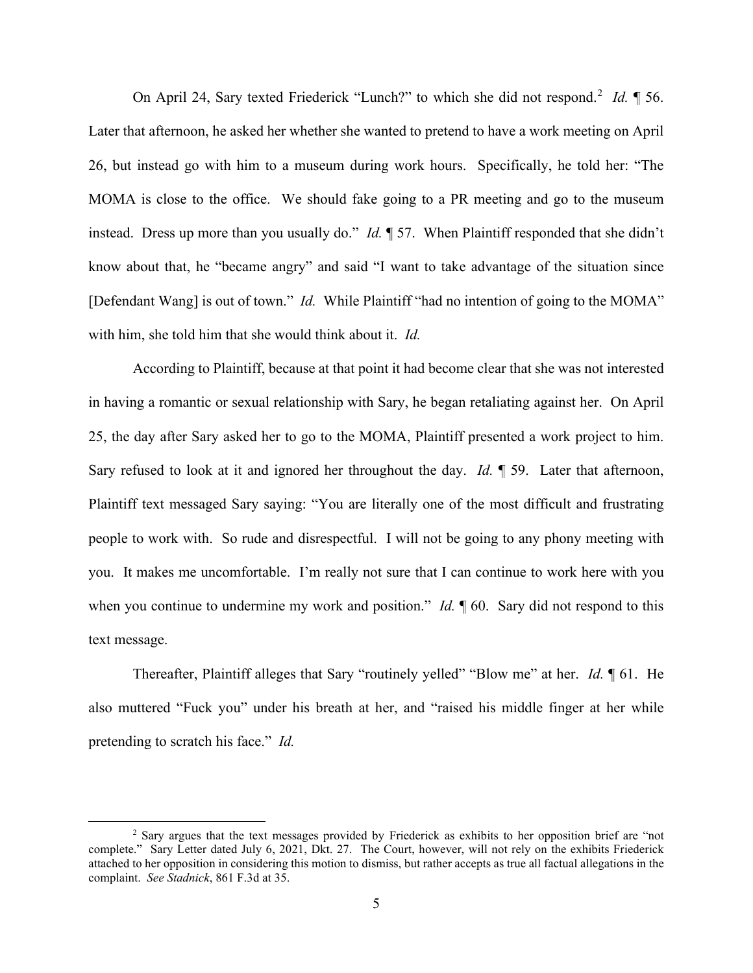On April [2](#page-4-0)4, Sary texted Friederick "Lunch?" to which she did not respond.<sup>2</sup> Id. 1 56. Later that afternoon, he asked her whether she wanted to pretend to have a work meeting on April 26, but instead go with him to a museum during work hours. Specifically, he told her: "The MOMA is close to the office. We should fake going to a PR meeting and go to the museum instead. Dress up more than you usually do." *Id.* ¶ 57. When Plaintiff responded that she didn't know about that, he "became angry" and said "I want to take advantage of the situation since [Defendant Wang] is out of town." *Id.* While Plaintiff "had no intention of going to the MOMA" with him, she told him that she would think about it. *Id.*

According to Plaintiff, because at that point it had become clear that she was not interested in having a romantic or sexual relationship with Sary, he began retaliating against her. On April 25, the day after Sary asked her to go to the MOMA, Plaintiff presented a work project to him. Sary refused to look at it and ignored her throughout the day. *Id.* ¶ 59. Later that afternoon, Plaintiff text messaged Sary saying: "You are literally one of the most difficult and frustrating people to work with. So rude and disrespectful. I will not be going to any phony meeting with you. It makes me uncomfortable. I'm really not sure that I can continue to work here with you when you continue to undermine my work and position." *Id.* 160. Sary did not respond to this text message.

Thereafter, Plaintiff alleges that Sary "routinely yelled" "Blow me" at her. *Id.* ¶ 61. He also muttered "Fuck you" under his breath at her, and "raised his middle finger at her while pretending to scratch his face." *Id.* 

<span id="page-4-0"></span><sup>2</sup> Sary argues that the text messages provided by Friederick as exhibits to her opposition brief are "not complete." Sary Letter dated July 6, 2021, Dkt. 27. The Court, however, will not rely on the exhibits Friederick attached to her opposition in considering this motion to dismiss, but rather accepts as true all factual allegations in the complaint. *See Stadnick*, 861 F.3d at 35.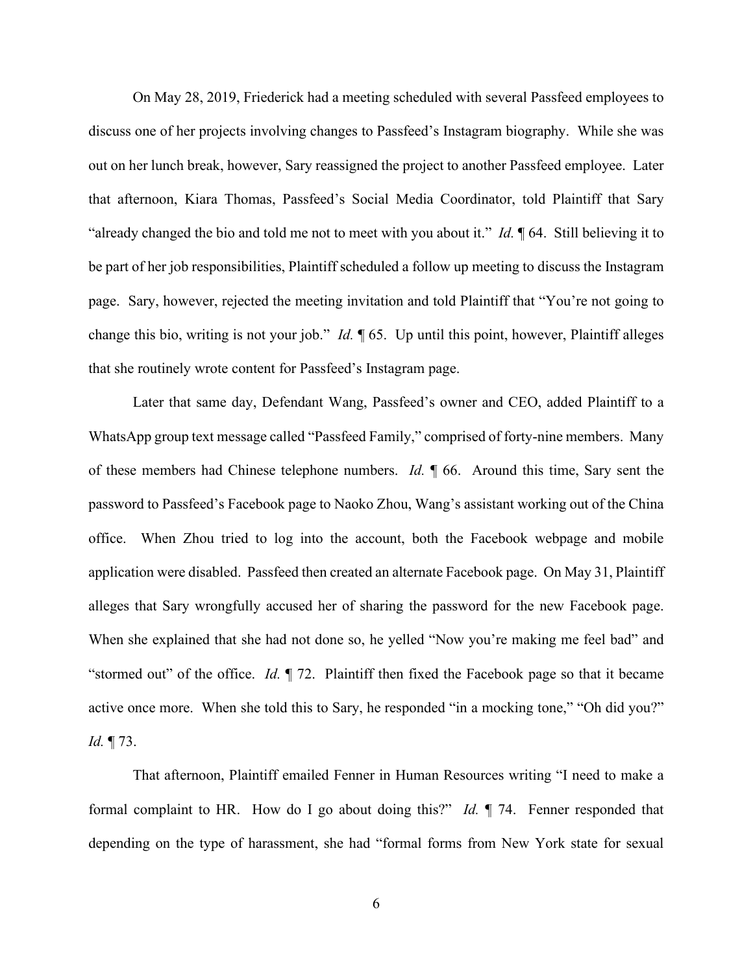On May 28, 2019, Friederick had a meeting scheduled with several Passfeed employees to discuss one of her projects involving changes to Passfeed's Instagram biography. While she was out on her lunch break, however, Sary reassigned the project to another Passfeed employee. Later that afternoon, Kiara Thomas, Passfeed's Social Media Coordinator, told Plaintiff that Sary "already changed the bio and told me not to meet with you about it." *Id.* ¶ 64. Still believing it to be part of her job responsibilities, Plaintiff scheduled a follow up meeting to discuss the Instagram page. Sary, however, rejected the meeting invitation and told Plaintiff that "You're not going to change this bio, writing is not your job." *Id.* ¶ 65. Up until this point, however, Plaintiff alleges that she routinely wrote content for Passfeed's Instagram page.

Later that same day, Defendant Wang, Passfeed's owner and CEO, added Plaintiff to a WhatsApp group text message called "Passfeed Family," comprised of forty-nine members. Many of these members had Chinese telephone numbers. *Id.* ¶ 66. Around this time, Sary sent the password to Passfeed's Facebook page to Naoko Zhou, Wang's assistant working out of the China office. When Zhou tried to log into the account, both the Facebook webpage and mobile application were disabled. Passfeed then created an alternate Facebook page. On May 31, Plaintiff alleges that Sary wrongfully accused her of sharing the password for the new Facebook page. When she explained that she had not done so, he yelled "Now you're making me feel bad" and "stormed out" of the office. *Id.* ¶ 72. Plaintiff then fixed the Facebook page so that it became active once more. When she told this to Sary, he responded "in a mocking tone," "Oh did you?" *Id.* ¶ 73.

That afternoon, Plaintiff emailed Fenner in Human Resources writing "I need to make a formal complaint to HR. How do I go about doing this?" *Id.* ¶ 74. Fenner responded that depending on the type of harassment, she had "formal forms from New York state for sexual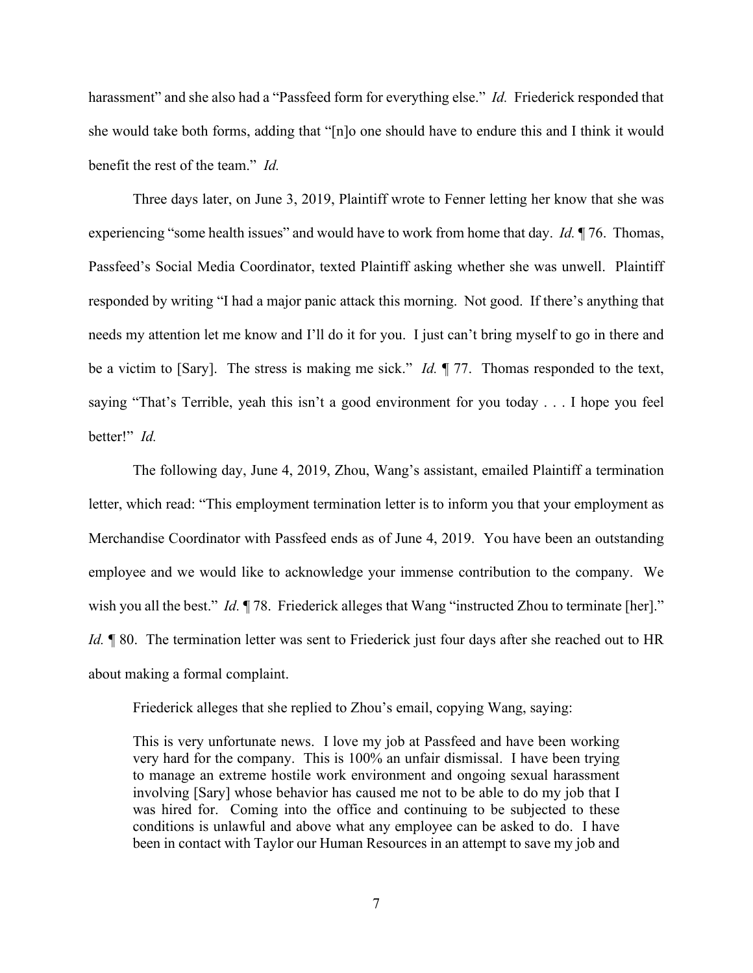harassment" and she also had a "Passfeed form for everything else." *Id.* Friederick responded that she would take both forms, adding that "[n]o one should have to endure this and I think it would benefit the rest of the team." *Id.* 

Three days later, on June 3, 2019, Plaintiff wrote to Fenner letting her know that she was experiencing "some health issues" and would have to work from home that day. *Id.* ¶ 76. Thomas, Passfeed's Social Media Coordinator, texted Plaintiff asking whether she was unwell. Plaintiff responded by writing "I had a major panic attack this morning. Not good. If there's anything that needs my attention let me know and I'll do it for you. I just can't bring myself to go in there and be a victim to [Sary]. The stress is making me sick." *Id.* ¶ 77. Thomas responded to the text, saying "That's Terrible, yeah this isn't a good environment for you today . . . I hope you feel better!" *Id.*

The following day, June 4, 2019, Zhou, Wang's assistant, emailed Plaintiff a termination letter, which read: "This employment termination letter is to inform you that your employment as Merchandise Coordinator with Passfeed ends as of June 4, 2019. You have been an outstanding employee and we would like to acknowledge your immense contribution to the company. We wish you all the best." *Id.* 178. Friederick alleges that Wang "instructed Zhou to terminate [her]." *Id.* **[80.** The termination letter was sent to Friederick just four days after she reached out to HR about making a formal complaint.

Friederick alleges that she replied to Zhou's email, copying Wang, saying:

This is very unfortunate news. I love my job at Passfeed and have been working very hard for the company. This is 100% an unfair dismissal. I have been trying to manage an extreme hostile work environment and ongoing sexual harassment involving [Sary] whose behavior has caused me not to be able to do my job that I was hired for. Coming into the office and continuing to be subjected to these conditions is unlawful and above what any employee can be asked to do. I have been in contact with Taylor our Human Resources in an attempt to save my job and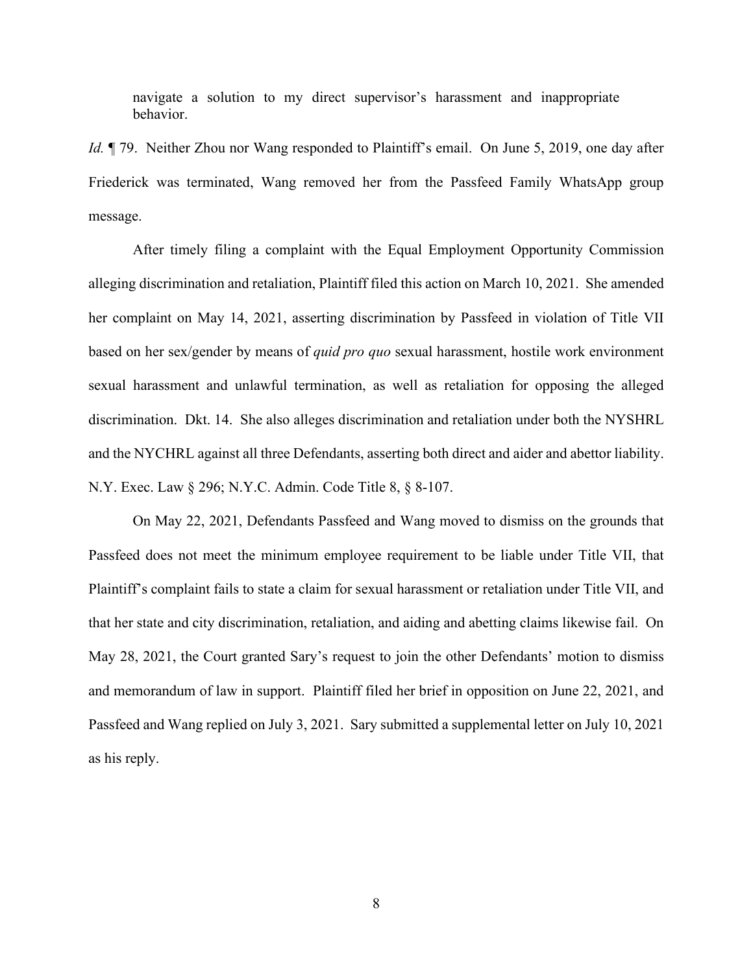navigate a solution to my direct supervisor's harassment and inappropriate behavior.

*Id.*  $\parallel$  79. Neither Zhou nor Wang responded to Plaintiff's email. On June 5, 2019, one day after Friederick was terminated, Wang removed her from the Passfeed Family WhatsApp group message.

After timely filing a complaint with the Equal Employment Opportunity Commission alleging discrimination and retaliation, Plaintiff filed this action on March 10, 2021. She amended her complaint on May 14, 2021, asserting discrimination by Passfeed in violation of Title VII based on her sex/gender by means of *quid pro quo* sexual harassment, hostile work environment sexual harassment and unlawful termination, as well as retaliation for opposing the alleged discrimination. Dkt. 14. She also alleges discrimination and retaliation under both the NYSHRL and the NYCHRL against all three Defendants, asserting both direct and aider and abettor liability. N.Y. Exec. Law § 296; N.Y.C. Admin. Code Title 8, § 8-107.

On May 22, 2021, Defendants Passfeed and Wang moved to dismiss on the grounds that Passfeed does not meet the minimum employee requirement to be liable under Title VII, that Plaintiff's complaint fails to state a claim for sexual harassment or retaliation under Title VII, and that her state and city discrimination, retaliation, and aiding and abetting claims likewise fail. On May 28, 2021, the Court granted Sary's request to join the other Defendants' motion to dismiss and memorandum of law in support. Plaintiff filed her brief in opposition on June 22, 2021, and Passfeed and Wang replied on July 3, 2021. Sary submitted a supplemental letter on July 10, 2021 as his reply.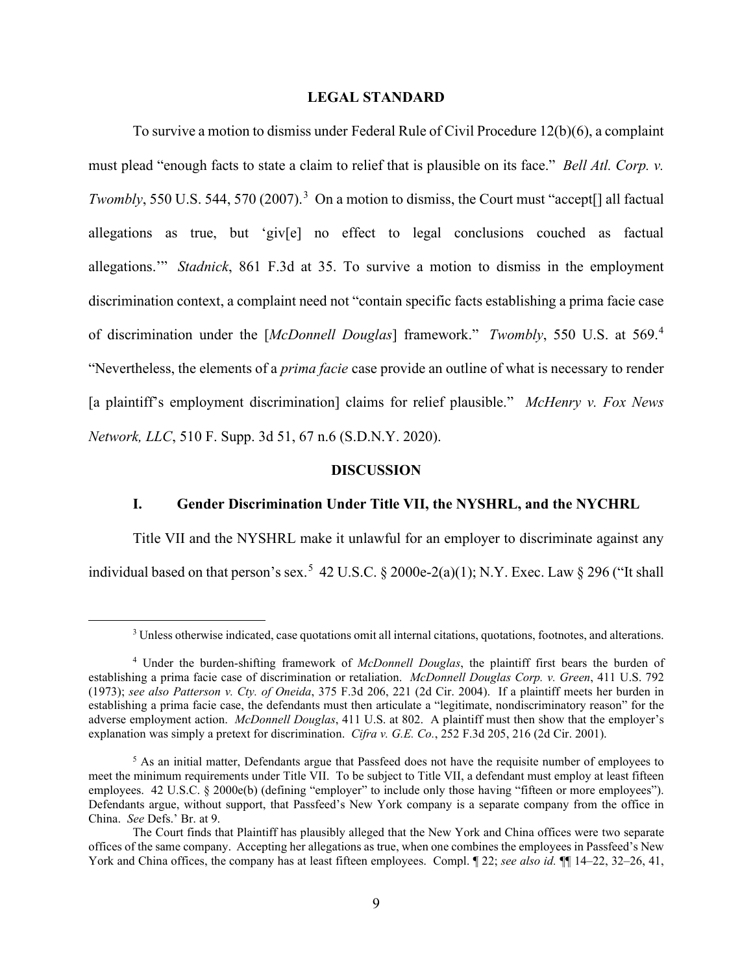## **LEGAL STANDARD**

To survive a motion to dismiss under Federal Rule of Civil Procedure 12(b)(6), a complaint must plead "enough facts to state a claim to relief that is plausible on its face." *Bell Atl. Corp. v. Twombly*, 550 U.S. 544, 570 (2007).<sup>[3](#page-8-0)</sup> On a motion to dismiss, the Court must "accept[] all factual allegations as true, but 'giv[e] no effect to legal conclusions couched as factual allegations.'" *Stadnick*, 861 F.3d at 35. To survive a motion to dismiss in the employment discrimination context, a complaint need not "contain specific facts establishing a prima facie case of discrimination under the [*McDonnell Douglas*] framework." *Twombly*, 550 U.S. at 569.[4](#page-8-1) "Nevertheless, the elements of a *prima facie* case provide an outline of what is necessary to render [a plaintiff's employment discrimination] claims for relief plausible." *McHenry v. Fox News Network, LLC*, 510 F. Supp. 3d 51, 67 n.6 (S.D.N.Y. 2020).

## **DISCUSSION**

## **I. Gender Discrimination Under Title VII, the NYSHRL, and the NYCHRL**

Title VII and the NYSHRL make it unlawful for an employer to discriminate against any individual based on that person's sex.<sup>[5](#page-8-2)</sup> 42 U.S.C.  $\S 2000e-2(a)(1)$ ; N.Y. Exec. Law  $\S 296$  ("It shall

<sup>3</sup> Unless otherwise indicated, case quotations omit all internal citations, quotations, footnotes, and alterations.

<span id="page-8-1"></span><span id="page-8-0"></span><sup>4</sup> Under the burden-shifting framework of *McDonnell Douglas*, the plaintiff first bears the burden of establishing a prima facie case of discrimination or retaliation. *McDonnell Douglas Corp. v. Green*, 411 U.S. 792 (1973); *see also Patterson v. Cty. of Oneida*, 375 F.3d 206, 221 (2d Cir. 2004). If a plaintiff meets her burden in establishing a prima facie case, the defendants must then articulate a "legitimate, nondiscriminatory reason" for the adverse employment action. *McDonnell Douglas*, 411 U.S. at 802. A plaintiff must then show that the employer's explanation was simply a pretext for discrimination. *Cifra v. G.E. Co.*, 252 F.3d 205, 216 (2d Cir. 2001).

<span id="page-8-2"></span> $<sup>5</sup>$  As an initial matter, Defendants argue that Passfeed does not have the requisite number of employees to</sup> meet the minimum requirements under Title VII. To be subject to Title VII, a defendant must employ at least fifteen employees. 42 U.S.C. § 2000e(b) (defining "employer" to include only those having "fifteen or more employees"). Defendants argue, without support, that Passfeed's New York company is a separate company from the office in China. *See* Defs.' Br. at 9.

The Court finds that Plaintiff has plausibly alleged that the New York and China offices were two separate offices of the same company. Accepting her allegations as true, when one combines the employees in Passfeed's New York and China offices, the company has at least fifteen employees. Compl. ¶ 22; *see also id.* ¶¶ 14–22, 32–26, 41,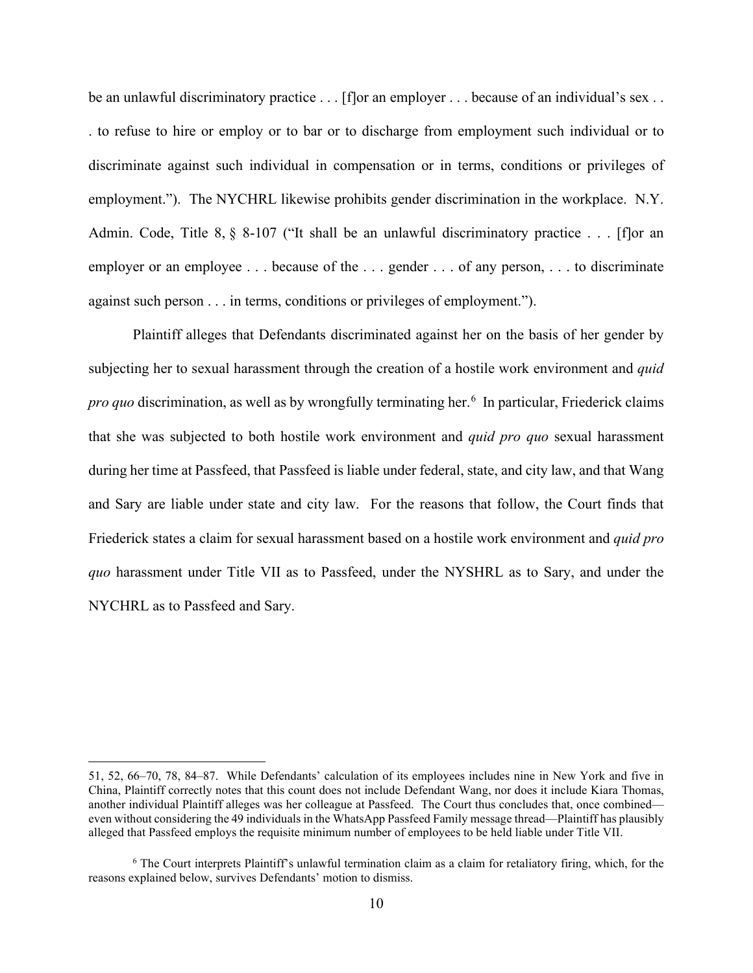be an unlawful discriminatory practice . . . [f]or an employer . . . because of an individual's sex . . . to refuse to hire or employ or to bar or to discharge from employment such individual or to discriminate against such individual in compensation or in terms, conditions or privileges of employment."). The NYCHRL likewise prohibits gender discrimination in the workplace. N.Y. Admin. Code, Title 8,  $\S$  8-107 ("It shall be an unlawful discriminatory practice . . . [flor an employer or an employee . . . because of the . . . gender . . . of any person, . . . to discriminate against such person . . . in terms, conditions or privileges of employment.").

Plaintiff alleges that Defendants discriminated against her on the basis of her gender by subjecting her to sexual harassment through the creation of a hostile work environment and *quid*  pro quo discrimination, as well as by wrongfully terminating her.<sup>[6](#page-9-0)</sup> In particular, Friederick claims that she was subjected to both hostile work environment and *quid pro quo* sexual harassment during her time at Passfeed, that Passfeed is liable under federal, state, and city law, and that Wang and Sary are liable under state and city law. For the reasons that follow, the Court finds that Friederick states a claim for sexual harassment based on a hostile work environment and *quid pro quo* harassment under Title VII as to Passfeed, under the NYSHRL as to Sary, and under the NYCHRL as to Passfeed and Sary.

<sup>51, 52, 66–70, 78, 84–87.</sup> While Defendants' calculation of its employees includes nine in New York and five in China, Plaintiff correctly notes that this count does not include Defendant Wang, nor does it include Kiara Thomas, another individual Plaintiff alleges was her colleague at Passfeed. The Court thus concludes that, once combined even without considering the 49 individuals in the WhatsApp Passfeed Family message thread—Plaintiff has plausibly alleged that Passfeed employs the requisite minimum number of employees to be held liable under Title VII.

<span id="page-9-0"></span><sup>6</sup> The Court interprets Plaintiff's unlawful termination claim as a claim for retaliatory firing, which, for the reasons explained below, survives Defendants' motion to dismiss.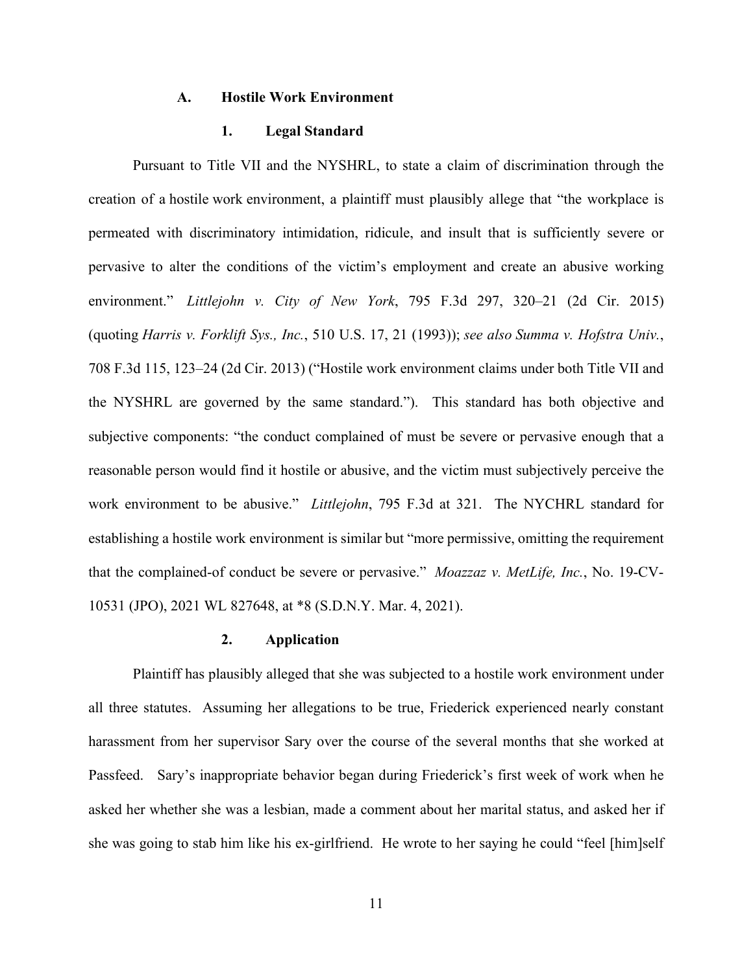#### **A. Hostile Work Environment**

# **1. Legal Standard**

Pursuant to Title VII and the NYSHRL, to state a claim of discrimination through the creation of a hostile work environment, a plaintiff must plausibly allege that "the workplace is permeated with discriminatory intimidation, ridicule, and insult that is sufficiently severe or pervasive to alter the conditions of the victim's employment and create an abusive working environment." *Littlejohn v. City of New York*, 795 F.3d 297, 320–21 (2d Cir. 2015) (quoting *Harris v. Forklift Sys., Inc.*, 510 U.S. 17, 21 (1993)); *see also Summa v. Hofstra Univ.*, 708 F.3d 115, 123–24 (2d Cir. 2013) ("Hostile work environment claims under both Title VII and the NYSHRL are governed by the same standard."). This standard has both objective and subjective components: "the conduct complained of must be severe or pervasive enough that a reasonable person would find it hostile or abusive, and the victim must subjectively perceive the work environment to be abusive." *Littlejohn*, 795 F.3d at 321. The NYCHRL standard for establishing a hostile work environment is similar but "more permissive, omitting the requirement that the complained-of conduct be severe or pervasive." *Moazzaz v. MetLife, Inc.*, No. 19-CV-10531 (JPO), 2021 WL 827648, at \*8 (S.D.N.Y. Mar. 4, 2021).

### **2. Application**

Plaintiff has plausibly alleged that she was subjected to a hostile work environment under all three statutes. Assuming her allegations to be true, Friederick experienced nearly constant harassment from her supervisor Sary over the course of the several months that she worked at Passfeed. Sary's inappropriate behavior began during Friederick's first week of work when he asked her whether she was a lesbian, made a comment about her marital status, and asked her if she was going to stab him like his ex-girlfriend. He wrote to her saying he could "feel [him]self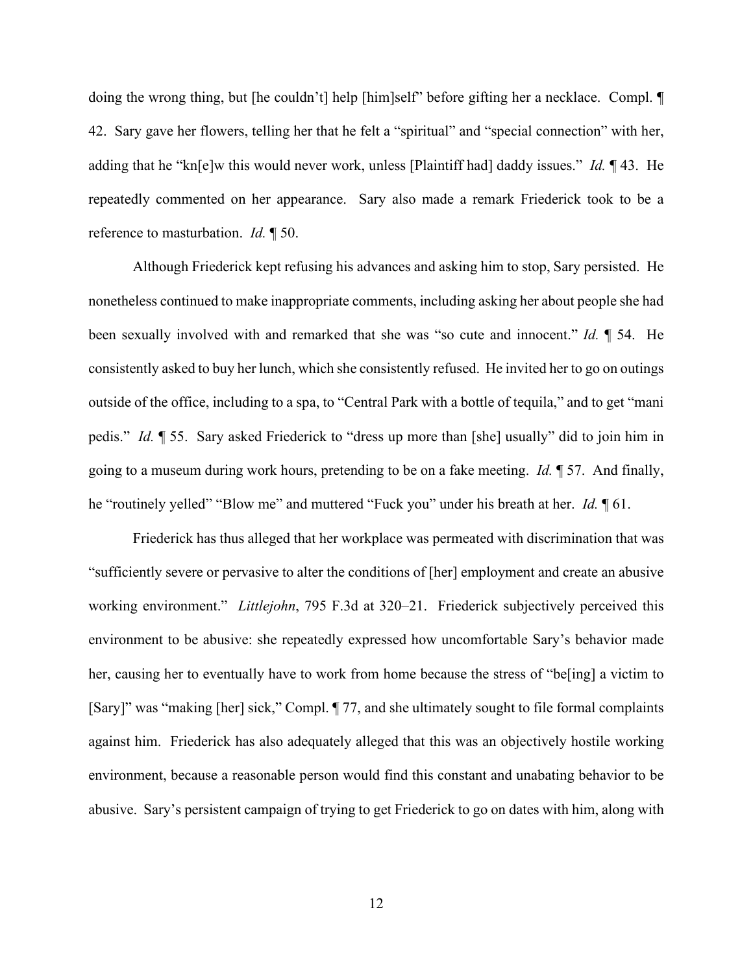doing the wrong thing, but [he couldn't] help [him]self" before gifting her a necklace. Compl. ¶ 42. Sary gave her flowers, telling her that he felt a "spiritual" and "special connection" with her, adding that he "kn[e]w this would never work, unless [Plaintiff had] daddy issues." *Id.* ¶ 43. He repeatedly commented on her appearance. Sary also made a remark Friederick took to be a reference to masturbation. *Id.* ¶ 50.

Although Friederick kept refusing his advances and asking him to stop, Sary persisted. He nonetheless continued to make inappropriate comments, including asking her about people she had been sexually involved with and remarked that she was "so cute and innocent." *Id.* ¶ 54. He consistently asked to buy her lunch, which she consistently refused. He invited her to go on outings outside of the office, including to a spa, to "Central Park with a bottle of tequila," and to get "mani pedis." *Id.* ¶ 55. Sary asked Friederick to "dress up more than [she] usually" did to join him in going to a museum during work hours, pretending to be on a fake meeting. *Id.* ¶ 57. And finally, he "routinely yelled" "Blow me" and muttered "Fuck you" under his breath at her. *Id.* ¶ 61.

Friederick has thus alleged that her workplace was permeated with discrimination that was "sufficiently severe or pervasive to alter the conditions of [her] employment and create an abusive working environment." *Littlejohn*, 795 F.3d at 320–21. Friederick subjectively perceived this environment to be abusive: she repeatedly expressed how uncomfortable Sary's behavior made her, causing her to eventually have to work from home because the stress of "be[ing] a victim to [Sary]" was "making [her] sick," Compl. ¶ 77, and she ultimately sought to file formal complaints against him. Friederick has also adequately alleged that this was an objectively hostile working environment, because a reasonable person would find this constant and unabating behavior to be abusive. Sary's persistent campaign of trying to get Friederick to go on dates with him, along with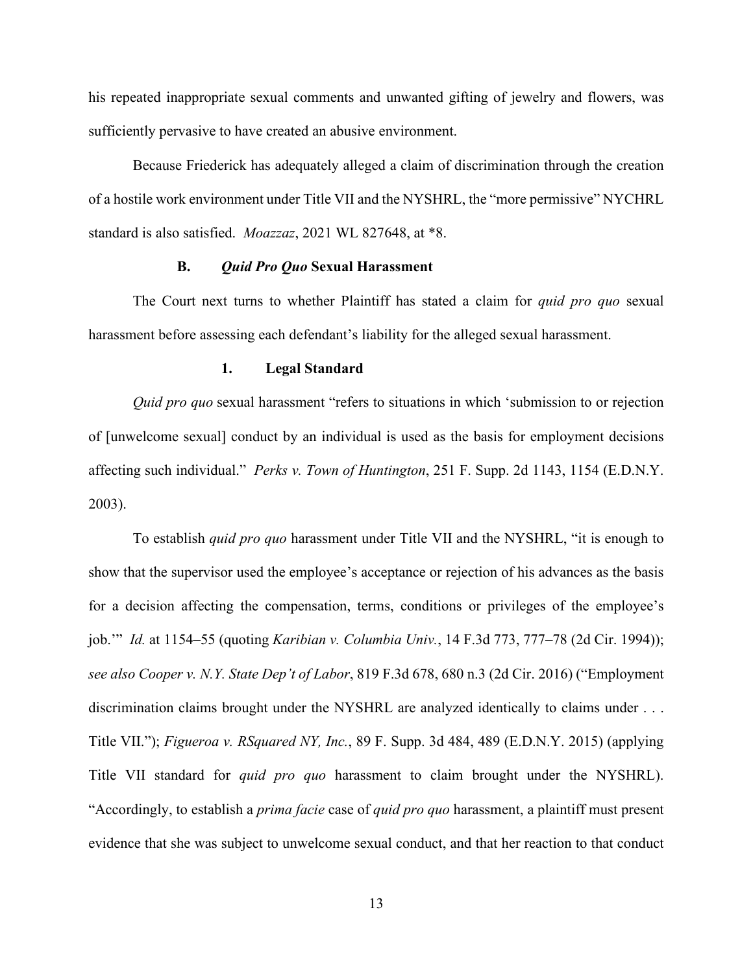his repeated inappropriate sexual comments and unwanted gifting of jewelry and flowers, was sufficiently pervasive to have created an abusive environment.

Because Friederick has adequately alleged a claim of discrimination through the creation of a hostile work environment under Title VII and the NYSHRL, the "more permissive" NYCHRL standard is also satisfied. *Moazzaz*, 2021 WL 827648, at \*8.

# **B.** *Quid Pro Quo* **Sexual Harassment**

The Court next turns to whether Plaintiff has stated a claim for *quid pro quo* sexual harassment before assessing each defendant's liability for the alleged sexual harassment.

## **1. Legal Standard**

*Quid pro quo* sexual harassment "refers to situations in which 'submission to or rejection of [unwelcome sexual] conduct by an individual is used as the basis for employment decisions affecting such individual." *Perks v. Town of Huntington*, 251 F. Supp. 2d 1143, 1154 (E.D.N.Y. 2003).

To establish *quid pro quo* harassment under Title VII and the NYSHRL, "it is enough to show that the supervisor used the employee's acceptance or rejection of his advances as the basis for a decision affecting the compensation, terms, conditions or privileges of the employee's job.'" *Id.* at 1154–55 (quoting *Karibian v. Columbia Univ.*, 14 F.3d 773, 777–78 (2d Cir. 1994)); *see also Cooper v. N.Y. State Dep't of Labor*, 819 F.3d 678, 680 n.3 (2d Cir. 2016) ("Employment discrimination claims brought under the NYSHRL are analyzed identically to claims under . . . Title VII."); *Figueroa v. RSquared NY, Inc.*, 89 F. Supp. 3d 484, 489 (E.D.N.Y. 2015) (applying Title VII standard for *quid pro quo* harassment to claim brought under the NYSHRL). "Accordingly, to establish a *prima facie* case of *quid pro quo* harassment, a plaintiff must present evidence that she was subject to unwelcome sexual conduct, and that her reaction to that conduct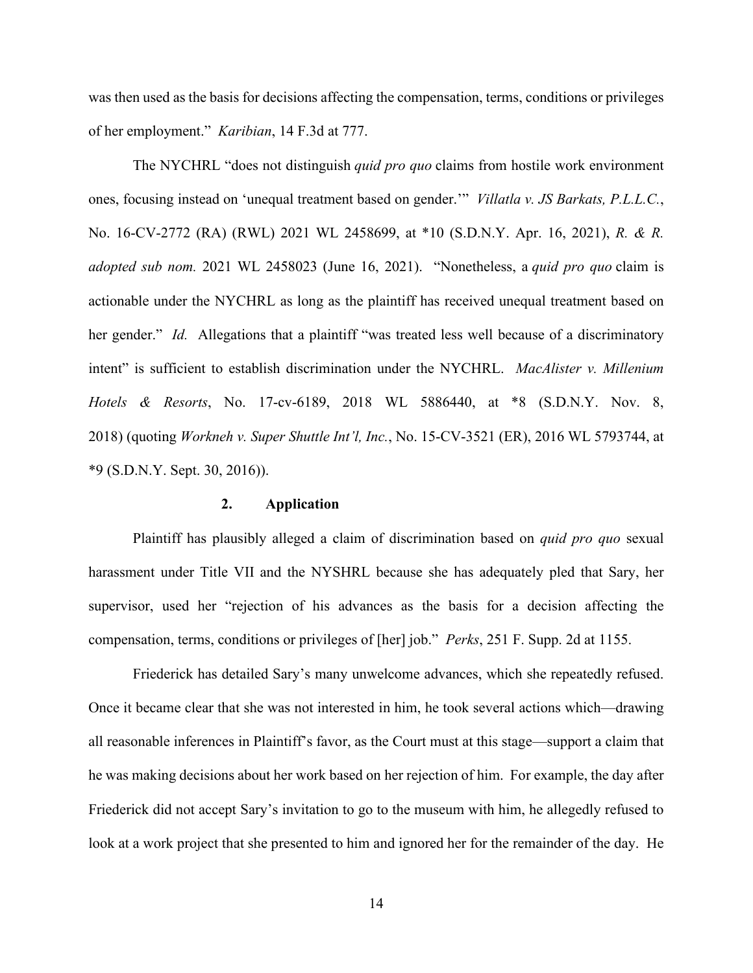was then used as the basis for decisions affecting the compensation, terms, conditions or privileges of her employment." *Karibian*, 14 F.3d at 777.

The NYCHRL "does not distinguish *quid pro quo* claims from hostile work environment ones, focusing instead on 'unequal treatment based on gender.'" *Villatla v. JS Barkats, P.L.L.C.*, No. 16-CV-2772 (RA) (RWL) 2021 WL 2458699, at \*10 (S.D.N.Y. Apr. 16, 2021), *R. & R. adopted sub nom.* 2021 WL 2458023 (June 16, 2021). "Nonetheless, a *quid pro quo* claim is actionable under the NYCHRL as long as the plaintiff has received unequal treatment based on her gender." *Id.* Allegations that a plaintiff "was treated less well because of a discriminatory intent" is sufficient to establish discrimination under the NYCHRL. *MacAlister v. Millenium Hotels & Resorts*, No. 17-cv-6189, 2018 WL 5886440, at \*8 (S.D.N.Y. Nov. 8, 2018) (quoting *Workneh v. Super Shuttle Int'l, Inc.*, No. 15-CV-3521 (ER), 2016 WL 5793744, at \*9 (S.D.N.Y. Sept. 30, 2016)).

## **2. Application**

Plaintiff has plausibly alleged a claim of discrimination based on *quid pro quo* sexual harassment under Title VII and the NYSHRL because she has adequately pled that Sary, her supervisor, used her "rejection of his advances as the basis for a decision affecting the compensation, terms, conditions or privileges of [her] job." *Perks*, 251 F. Supp. 2d at 1155.

Friederick has detailed Sary's many unwelcome advances, which she repeatedly refused. Once it became clear that she was not interested in him, he took several actions which—drawing all reasonable inferences in Plaintiff's favor, as the Court must at this stage—support a claim that he was making decisions about her work based on her rejection of him. For example, the day after Friederick did not accept Sary's invitation to go to the museum with him, he allegedly refused to look at a work project that she presented to him and ignored her for the remainder of the day. He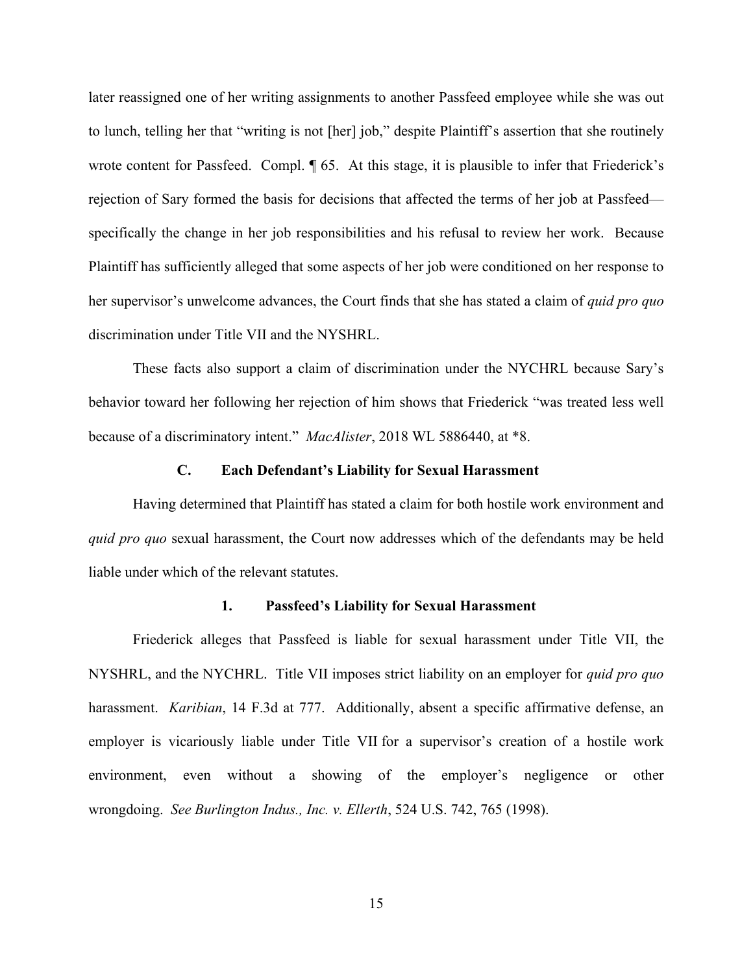later reassigned one of her writing assignments to another Passfeed employee while she was out to lunch, telling her that "writing is not [her] job," despite Plaintiff's assertion that she routinely wrote content for Passfeed. Compl.  $\llbracket 65$ . At this stage, it is plausible to infer that Friederick's rejection of Sary formed the basis for decisions that affected the terms of her job at Passfeed specifically the change in her job responsibilities and his refusal to review her work. Because Plaintiff has sufficiently alleged that some aspects of her job were conditioned on her response to her supervisor's unwelcome advances, the Court finds that she has stated a claim of *quid pro quo*  discrimination under Title VII and the NYSHRL.

These facts also support a claim of discrimination under the NYCHRL because Sary's behavior toward her following her rejection of him shows that Friederick "was treated less well because of a discriminatory intent." *MacAlister*, 2018 WL 5886440, at \*8.

## **C. Each Defendant's Liability for Sexual Harassment**

Having determined that Plaintiff has stated a claim for both hostile work environment and *quid pro quo* sexual harassment, the Court now addresses which of the defendants may be held liable under which of the relevant statutes.

# **1. Passfeed's Liability for Sexual Harassment**

Friederick alleges that Passfeed is liable for sexual harassment under Title VII, the NYSHRL, and the NYCHRL. Title VII imposes strict liability on an employer for *quid pro quo*  harassment. *Karibian*, 14 F.3d at 777. Additionally, absent a specific affirmative defense, an employer is vicariously liable under Title VII for a supervisor's creation of a hostile work environment, even without a showing of the employer's negligence or other wrongdoing. *See Burlington Indus., Inc. v. Ellerth*, 524 U.S. 742, 765 (1998).

15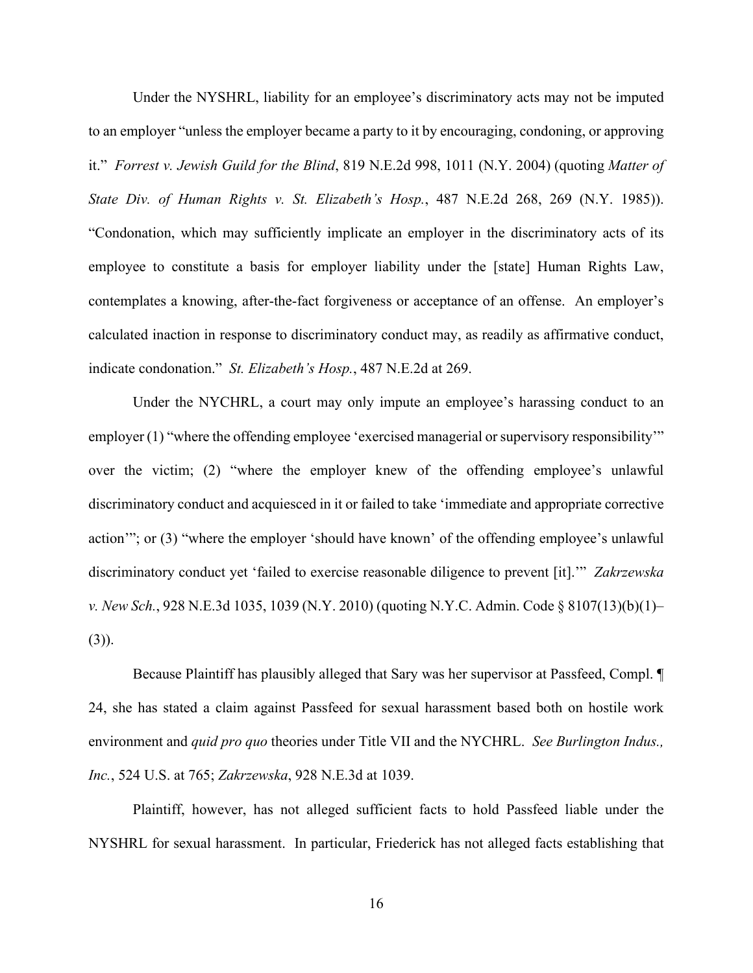Under the NYSHRL, liability for an employee's discriminatory acts may not be imputed to an employer "unless the employer became a party to it by encouraging, condoning, or approving it." *Forrest v. Jewish Guild for the Blind*, 819 N.E.2d 998, 1011 (N.Y. 2004) (quoting *Matter of State Div. of Human Rights v. St. Elizabeth's Hosp.*, 487 N.E.2d 268, 269 (N.Y. 1985)). "Condonation, which may sufficiently implicate an employer in the discriminatory acts of its employee to constitute a basis for employer liability under the [state] Human Rights Law, contemplates a knowing, after-the-fact forgiveness or acceptance of an offense. An employer's calculated inaction in response to discriminatory conduct may, as readily as affirmative conduct, indicate condonation." *St. Elizabeth's Hosp.*, 487 N.E.2d at 269.

Under the NYCHRL, a court may only impute an employee's harassing conduct to an employer (1) "where the offending employee 'exercised managerial or supervisory responsibility'" over the victim; (2) "where the employer knew of the offending employee's unlawful discriminatory conduct and acquiesced in it or failed to take 'immediate and appropriate corrective action'"; or (3) "where the employer 'should have known' of the offending employee's unlawful discriminatory conduct yet 'failed to exercise reasonable diligence to prevent [it].'" *Zakrzewska v. New Sch.*, 928 N.E.3d 1035, 1039 (N.Y. 2010) (quoting N.Y.C. Admin. Code § 8107(13)(b)(1)–  $(3)$ ).

Because Plaintiff has plausibly alleged that Sary was her supervisor at Passfeed, Compl. ¶ 24, she has stated a claim against Passfeed for sexual harassment based both on hostile work environment and *quid pro quo* theories under Title VII and the NYCHRL. *See Burlington Indus., Inc.*, 524 U.S. at 765; *Zakrzewska*, 928 N.E.3d at 1039.

Plaintiff, however, has not alleged sufficient facts to hold Passfeed liable under the NYSHRL for sexual harassment. In particular, Friederick has not alleged facts establishing that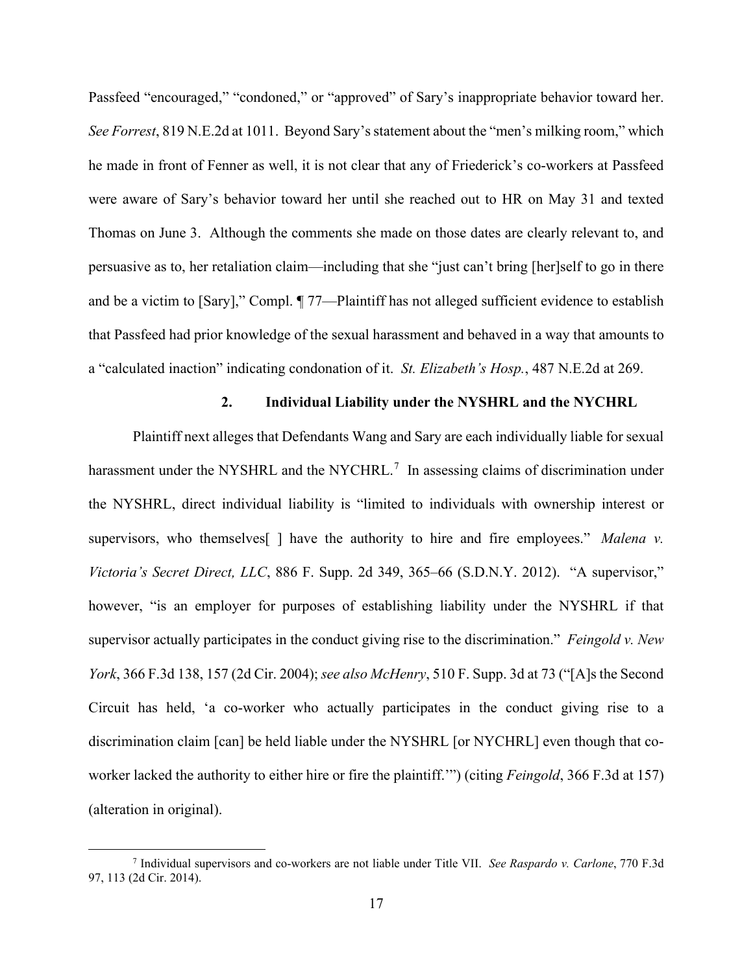Passfeed "encouraged," "condoned," or "approved" of Sary's inappropriate behavior toward her. *See Forrest*, 819 N.E.2d at 1011. Beyond Sary's statement about the "men's milking room," which he made in front of Fenner as well, it is not clear that any of Friederick's co-workers at Passfeed were aware of Sary's behavior toward her until she reached out to HR on May 31 and texted Thomas on June 3. Although the comments she made on those dates are clearly relevant to, and persuasive as to, her retaliation claim—including that she "just can't bring [her]self to go in there and be a victim to [Sary]," Compl. ¶ 77—Plaintiff has not alleged sufficient evidence to establish that Passfeed had prior knowledge of the sexual harassment and behaved in a way that amounts to a "calculated inaction" indicating condonation of it. *St. Elizabeth's Hosp.*, 487 N.E.2d at 269.

# **2. Individual Liability under the NYSHRL and the NYCHRL**

Plaintiff next alleges that Defendants Wang and Sary are each individually liable for sexual harassment under the NYSHRL and the NYCHRL.<sup>[7](#page-16-0)</sup> In assessing claims of discrimination under the NYSHRL, direct individual liability is "limited to individuals with ownership interest or supervisors, who themselves[ ] have the authority to hire and fire employees." *Malena v. Victoria's Secret Direct, LLC*, 886 F. Supp. 2d 349, 365–66 (S.D.N.Y. 2012). "A supervisor," however, "is an employer for purposes of establishing liability under the NYSHRL if that supervisor actually participates in the conduct giving rise to the discrimination." *Feingold v. New York*, 366 F.3d 138, 157 (2d Cir. 2004); *see also McHenry*, 510 F. Supp. 3d at 73 ("[A]s the Second Circuit has held, 'a co-worker who actually participates in the conduct giving rise to a discrimination claim [can] be held liable under the NYSHRL [or NYCHRL] even though that coworker lacked the authority to either hire or fire the plaintiff.'") (citing *Feingold*, 366 F.3d at 157) (alteration in original).

<span id="page-16-0"></span><sup>7</sup> Individual supervisors and co-workers are not liable under Title VII. *See Raspardo v. Carlone*, 770 F.3d 97, 113 (2d Cir. 2014).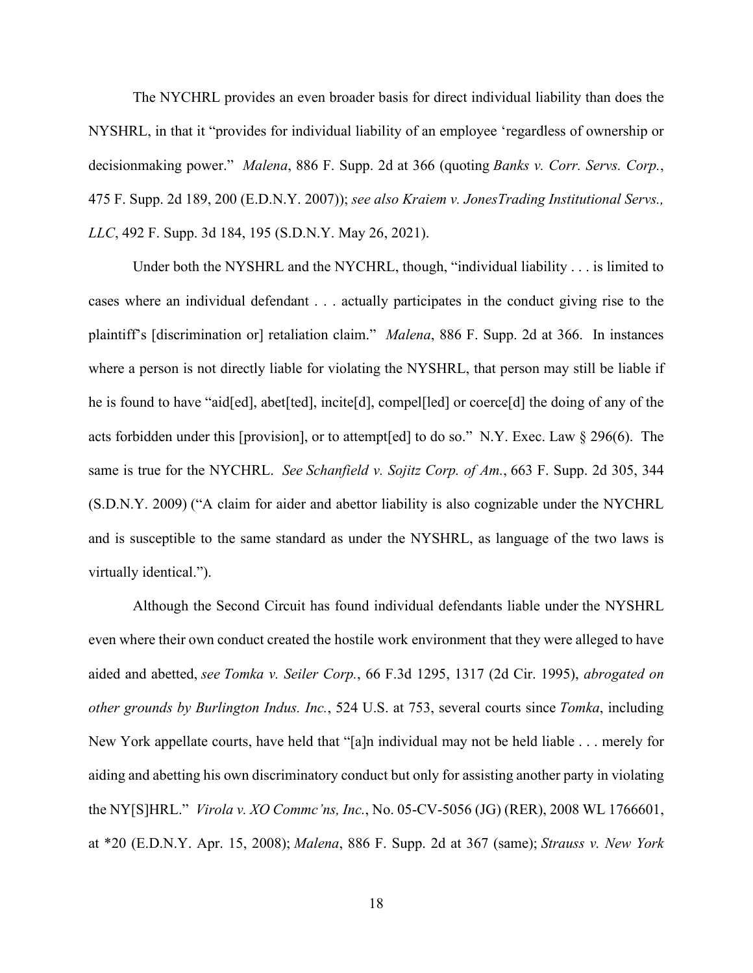The NYCHRL provides an even broader basis for direct individual liability than does the NYSHRL, in that it "provides for individual liability of an employee 'regardless of ownership or decisionmaking power." *Malena*, 886 F. Supp. 2d at 366 (quoting *Banks v. Corr. [Servs. Corp.](https://1.next.westlaw.com/Link/Document/FullText?findType=Y&serNum=2011538394&pubNum=0004637&originatingDoc=Ic2f19f90123e11ecb72ce2c86e84f35e&refType=RP&fi=co_pp_sp_4637_200&originationContext=document&transitionType=DocumentItem&ppcid=113f01cb169e4d458fd147528f9b4954&contextData=(sc.TRDiscover)#co_pp_sp_4637_200)*, [475 F. Supp. 2d 189, 200 \(E.D.N.Y. 2007\)\)](https://1.next.westlaw.com/Link/Document/FullText?findType=Y&serNum=2011538394&pubNum=0004637&originatingDoc=Ic2f19f90123e11ecb72ce2c86e84f35e&refType=RP&fi=co_pp_sp_4637_200&originationContext=document&transitionType=DocumentItem&ppcid=113f01cb169e4d458fd147528f9b4954&contextData=(sc.TRDiscover)#co_pp_sp_4637_200); *see also Kraiem v. JonesTrading Institutional Servs., LLC*, 492 F. Supp. 3d 184, 195 (S.D.N.Y. May 26, 2021).

Under both the NYSHRL and the NYCHRL, though, "individual liability . . . is limited to cases where an individual defendant . . . actually participates in the conduct giving rise to the plaintiff's [discrimination or] retaliation claim." *Malena*, 886 F. Supp. 2d at 366. In instances where a person is not directly liable for violating the NYSHRL, that person may still be liable if he is found to have "aid[ed], abet[ted], incite[d], compel[led] or coerce[d] the doing of any of the acts forbidden under this [provision], or to attempt[ed] to do so." N.Y. Exec. Law § 296(6).The same is true for the NYCHRL. *See Schanfield v. Sojitz Corp. of Am.*, 663 F. Supp. 2d 305, 344 (S.D.N.Y. 2009) ("A claim for aider and abettor liability is also cognizable under the NYCHRL and is susceptible to the same standard as under the NYSHRL, as language of the two laws is virtually identical.").

Although the Second Circuit has found individual defendants liable under the NYSHRL even where their own conduct created the hostile work environment that they were alleged to have aided and abetted, *see Tomka v. Seiler Corp.*, 66 F.3d 1295, 1317 (2d Cir. 1995), *abrogated on other grounds by Burlington Indus. Inc.*, 524 U.S. at 753, several courts since *Tomka*, including New York appellate courts, have held that "[a]n individual may not be held liable . . . merely for aiding and abetting his own discriminatory conduct but only for assisting another party in violating the NY[S]HRL." *Virola v. XO Commc'ns, Inc.*, No. 05-CV-5056 (JG) (RER), 2008 WL 1766601, at \*20 (E.D.N.Y. Apr. 15, 2008); *Malena*, 886 F. Supp. 2d at 367 (same); *Strauss v. New York*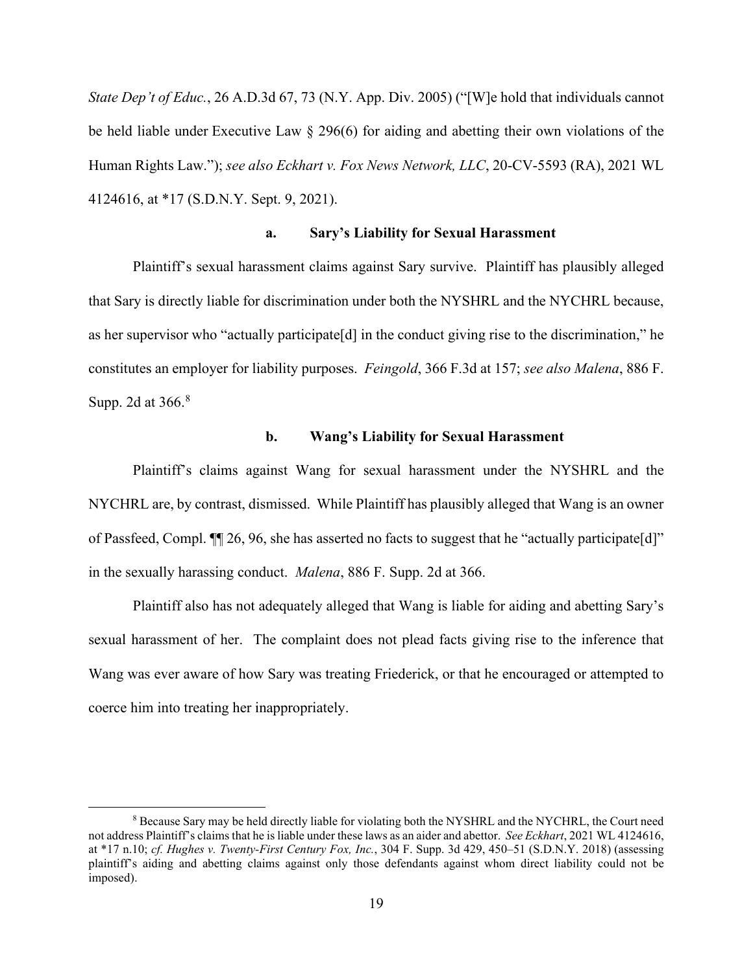*State Dep't of Educ.*, 26 A.D.3d 67, 73 (N.Y. App. Div. 2005) ("[W]e hold that individuals cannot be held liable under Executive Law § 296(6) for aiding and abetting their own violations of the Human Rights Law."); *see also Eckhart v. Fox News Network, LLC*, 20-CV-5593 (RA), 2021 WL 4124616, at \*17 (S.D.N.Y. Sept. 9, 2021).

# **a. Sary's Liability for Sexual Harassment**

Plaintiff's sexual harassment claims against Sary survive. Plaintiff has plausibly alleged that Sary is directly liable for discrimination under both the NYSHRL and the NYCHRL because, as her supervisor who "actually participate[d] in the conduct giving rise to the discrimination," he constitutes an employer for liability purposes. *Feingold*, 366 F.3d at 157; *see also Malena*, 886 F. Supp. 2d at 366.<sup>[8](#page-18-0)</sup>

# **b. Wang's Liability for Sexual Harassment**

Plaintiff's claims against Wang for sexual harassment under the NYSHRL and the NYCHRL are, by contrast, dismissed. While Plaintiff has plausibly alleged that Wang is an owner of Passfeed, Compl. ¶¶ 26, 96, she has asserted no facts to suggest that he "actually participate[d]" in the sexually harassing conduct. *Malena*, 886 F. Supp. 2d at 366.

Plaintiff also has not adequately alleged that Wang is liable for aiding and abetting Sary's sexual harassment of her. The complaint does not plead facts giving rise to the inference that Wang was ever aware of how Sary was treating Friederick, or that he encouraged or attempted to coerce him into treating her inappropriately.

<span id="page-18-0"></span><sup>&</sup>lt;sup>8</sup> Because Sary may be held directly liable for violating both the NYSHRL and the NYCHRL, the Court need not address Plaintiff's claims that he is liable under these laws as an aider and abettor. *See Eckhart*, 2021 WL 4124616, at \*17 n.10; *cf. Hughes v. Twenty-First Century Fox, Inc.*, 304 F. Supp. 3d 429, 450–51 (S.D.N.Y. 2018) (assessing plaintiff's aiding and abetting claims against only those defendants against whom direct liability could not be imposed).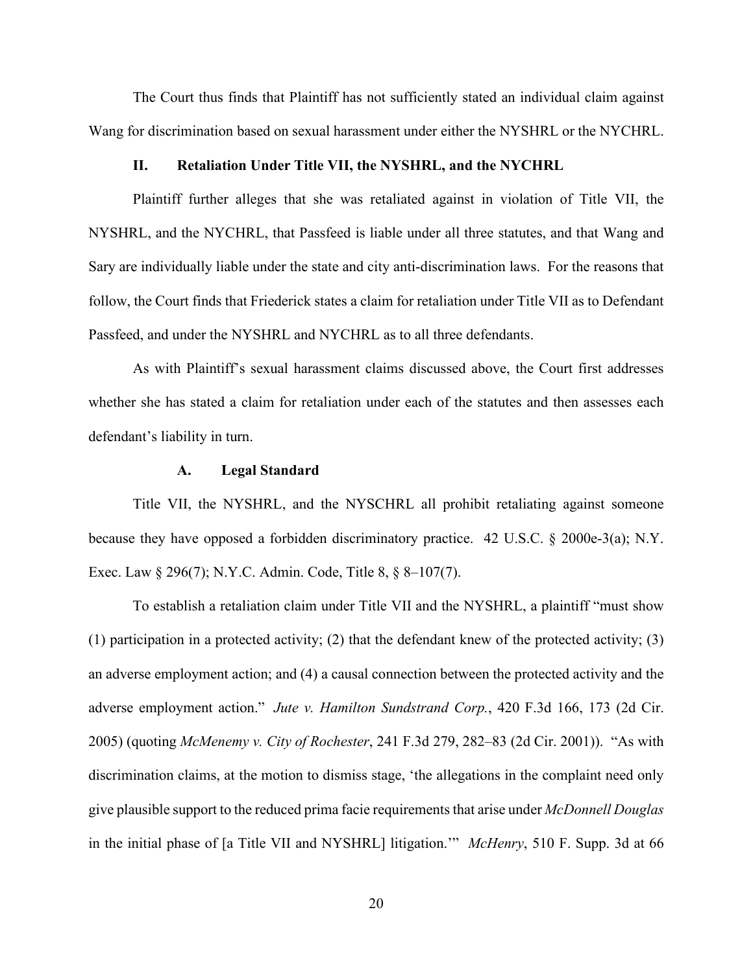The Court thus finds that Plaintiff has not sufficiently stated an individual claim against Wang for discrimination based on sexual harassment under either the NYSHRL or the NYCHRL.

## **II. Retaliation Under Title VII, the NYSHRL, and the NYCHRL**

Plaintiff further alleges that she was retaliated against in violation of Title VII, the NYSHRL, and the NYCHRL, that Passfeed is liable under all three statutes, and that Wang and Sary are individually liable under the state and city anti-discrimination laws. For the reasons that follow, the Court finds that Friederick states a claim for retaliation under Title VII as to Defendant Passfeed, and under the NYSHRL and NYCHRL as to all three defendants.

As with Plaintiff's sexual harassment claims discussed above, the Court first addresses whether she has stated a claim for retaliation under each of the statutes and then assesses each defendant's liability in turn.

### **A. Legal Standard**

Title VII, the NYSHRL, and the NYSCHRL all prohibit retaliating against someone because they have opposed a forbidden discriminatory practice. 42 U.S.C. § 2000e-3(a); N.Y. Exec. Law § 296(7); N.Y.C. Admin. Code, Title 8, § 8–107(7).

To establish a retaliation claim under Title VII and the NYSHRL, a plaintiff "must show (1) participation in a protected activity; (2) that the defendant knew of the protected activity; (3) an adverse employment action; and (4) a causal connection between the protected activity and the adverse employment action." *Jute v. Hamilton Sundstrand Corp.*, 420 F.3d 166, 173 (2d Cir. 2005) (quoting *McMenemy v. City of Rochester*, 241 F.3d 279, 282–83 (2d Cir. 2001)). "As with discrimination claims, at the motion to dismiss stage, 'the allegations in the complaint need only give plausible support to the reduced prima facie requirements that arise under *McDonnell Douglas*  in the initial phase of [a Title VII and NYSHRL] litigation.'" *McHenry*, 510 F. Supp. 3d at 66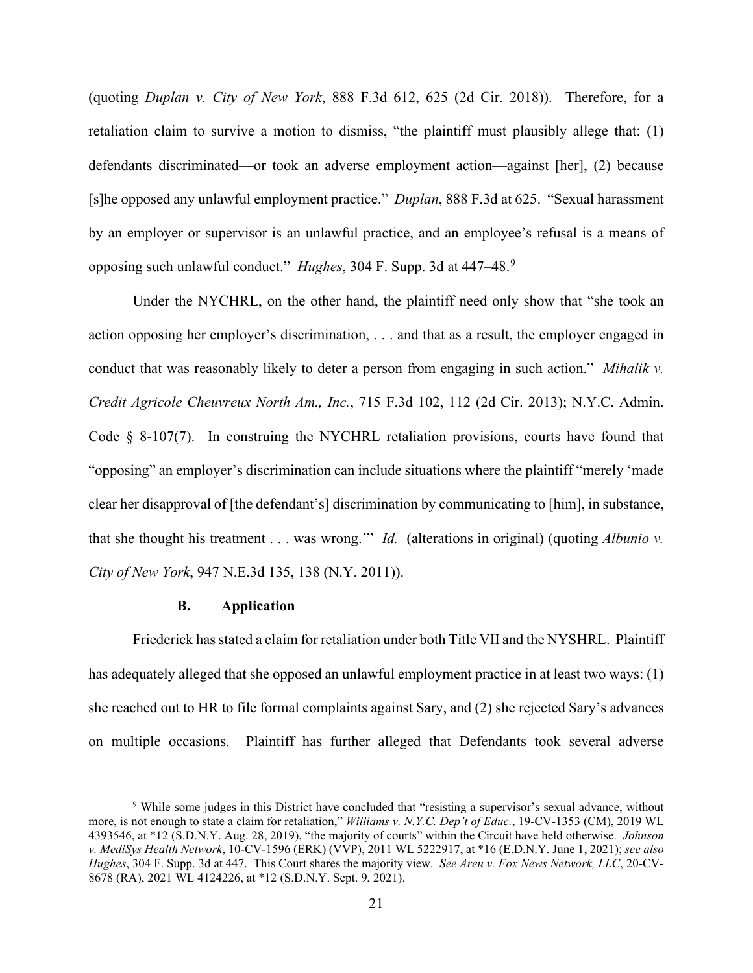(quoting *Duplan v. City of New York*, 888 F.3d 612, 625 (2d Cir. 2018)). Therefore, for a retaliation claim to survive a motion to dismiss, "the plaintiff must plausibly allege that: (1) defendants discriminated—or took an adverse employment action—against [her], (2) because [s]he opposed any unlawful employment practice." *Duplan*, 888 F.3d at 625. "Sexual harassment by an employer or supervisor is an unlawful practice, and an employee's refusal is a means of opposing such unlawful conduct." *Hughes*, 304 F. Supp. 3d at 447–48.[9](#page-20-0)

Under the NYCHRL, on the other hand, the plaintiff need only show that "she took an action opposing her employer's discrimination, . . . and that as a result, the employer engaged in conduct that was reasonably likely to deter a person from engaging in such action." *Mihalik v. Credit Agricole Cheuvreux North Am., Inc.*, 715 F.3d 102, 112 (2d Cir. 2013); N.Y.C. Admin. Code § 8-107(7). In construing the NYCHRL retaliation provisions, courts have found that "opposing" an employer's discrimination can include situations where the plaintiff "merely 'made clear her disapproval of [the defendant's] discrimination by communicating to [him], in substance, that she thought his treatment . . . was wrong.'" *Id.* (alterations in original) (quoting *Albunio v. City of New York*, 947 N.E.3d 135, 138 (N.Y. 2011)).

## **B. Application**

Friederick has stated a claim for retaliation under both Title VII and the NYSHRL. Plaintiff has adequately alleged that she opposed an unlawful employment practice in at least two ways: (1) she reached out to HR to file formal complaints against Sary, and (2) she rejected Sary's advances on multiple occasions. Plaintiff has further alleged that Defendants took several adverse

<span id="page-20-0"></span><sup>9</sup> While some judges in this District have concluded that "resisting a supervisor's sexual advance, without more, is not enough to state a claim for retaliation," *Williams v. N.Y.C. Dep't of Educ.*, 19-CV-1353 (CM), 2019 WL 4393546, at \*12 (S.D.N.Y. Aug. 28, 2019), "the majority of courts" within the Circuit have held otherwise. *Johnson v. MediSys Health Network*, 10-CV-1596 (ERK) (VVP), 2011 WL 5222917, at \*16 (E.D.N.Y. June 1, 2021); *see also Hughes*, 304 F. Supp. 3d at 447. This Court shares the majority view. *See Areu v. Fox News Network, LLC*, 20-CV-8678 (RA), 2021 WL 4124226, at \*12 (S.D.N.Y. Sept. 9, 2021).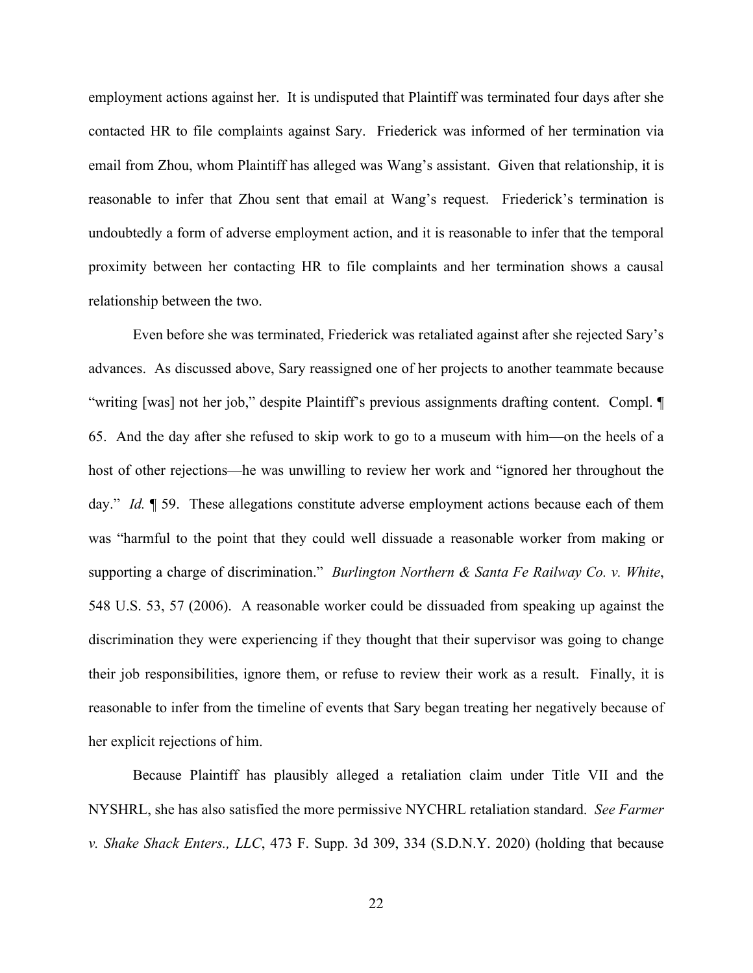employment actions against her. It is undisputed that Plaintiff was terminated four days after she contacted HR to file complaints against Sary. Friederick was informed of her termination via email from Zhou, whom Plaintiff has alleged was Wang's assistant. Given that relationship, it is reasonable to infer that Zhou sent that email at Wang's request. Friederick's termination is undoubtedly a form of adverse employment action, and it is reasonable to infer that the temporal proximity between her contacting HR to file complaints and her termination shows a causal relationship between the two.

Even before she was terminated, Friederick was retaliated against after she rejected Sary's advances. As discussed above, Sary reassigned one of her projects to another teammate because "writing [was] not her job," despite Plaintiff's previous assignments drafting content. Compl. ¶ 65. And the day after she refused to skip work to go to a museum with him—on the heels of a host of other rejections—he was unwilling to review her work and "ignored her throughout the day." *Id.* 1 59. These allegations constitute adverse employment actions because each of them was "harmful to the point that they could well dissuade a reasonable worker from making or supporting a charge of discrimination." *Burlington Northern & Santa Fe Railway Co. v. White*, 548 U.S. 53, 57 (2006). A reasonable worker could be dissuaded from speaking up against the discrimination they were experiencing if they thought that their supervisor was going to change their job responsibilities, ignore them, or refuse to review their work as a result. Finally, it is reasonable to infer from the timeline of events that Sary began treating her negatively because of her explicit rejections of him.

Because Plaintiff has plausibly alleged a retaliation claim under Title VII and the NYSHRL, she has also satisfied the more permissive NYCHRL retaliation standard. *See Farmer v. Shake Shack Enters., LLC*, 473 F. Supp. 3d 309, 334 (S.D.N.Y. 2020) (holding that because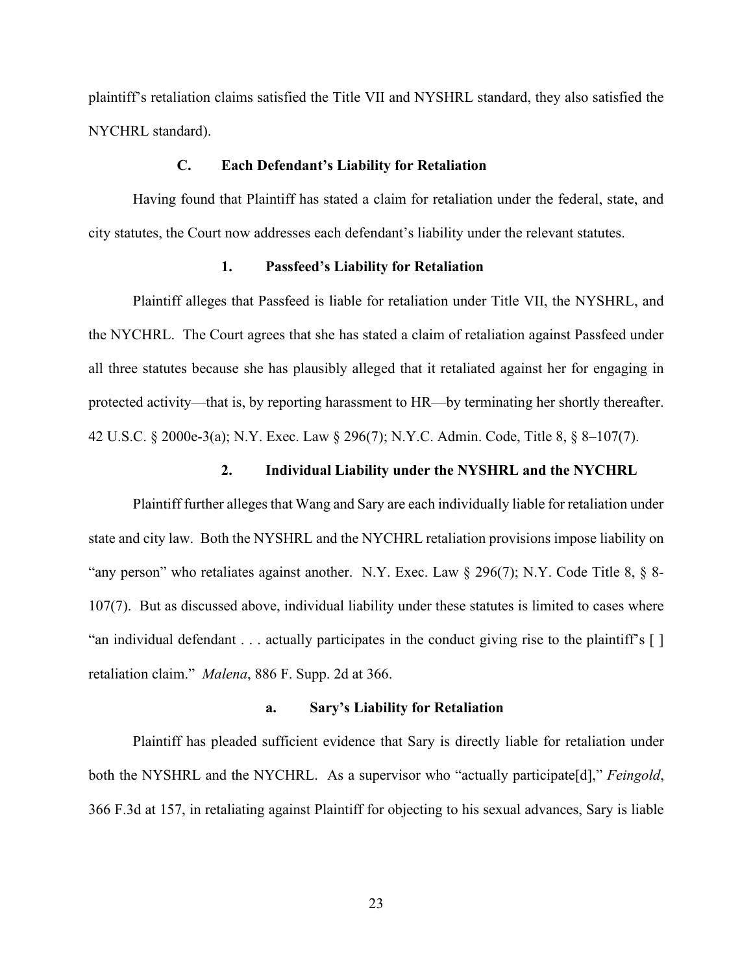plaintiff's retaliation claims satisfied the Title VII and NYSHRL standard, they also satisfied the NYCHRL standard).

# **C. Each Defendant's Liability for Retaliation**

Having found that Plaintiff has stated a claim for retaliation under the federal, state, and city statutes, the Court now addresses each defendant's liability under the relevant statutes.

# **1. Passfeed's Liability for Retaliation**

Plaintiff alleges that Passfeed is liable for retaliation under Title VII, the NYSHRL, and the NYCHRL. The Court agrees that she has stated a claim of retaliation against Passfeed under all three statutes because she has plausibly alleged that it retaliated against her for engaging in protected activity—that is, by reporting harassment to HR—by terminating her shortly thereafter. 42 U.S.C. § 2000e-3(a); N.Y. Exec. Law § 296(7); N.Y.C. Admin. Code, Title 8, § 8–107(7).

# **2. Individual Liability under the NYSHRL and the NYCHRL**

Plaintiff further alleges that Wang and Sary are each individually liable for retaliation under state and city law. Both the NYSHRL and the NYCHRL retaliation provisions impose liability on "any person" who retaliates against another. N.Y. Exec. Law § 296(7); N.Y. Code Title 8, § 8-107(7). But as discussed above, individual liability under these statutes is limited to cases where "an individual defendant . . . actually participates in the conduct giving rise to the plaintiff's [ ] retaliation claim." *Malena*, 886 F. Supp. 2d at 366.

#### **a. Sary's Liability for Retaliation**

Plaintiff has pleaded sufficient evidence that Sary is directly liable for retaliation under both the NYSHRL and the NYCHRL. As a supervisor who "actually participate[d]," *Feingold*, 366 F.3d at 157, in retaliating against Plaintiff for objecting to his sexual advances, Sary is liable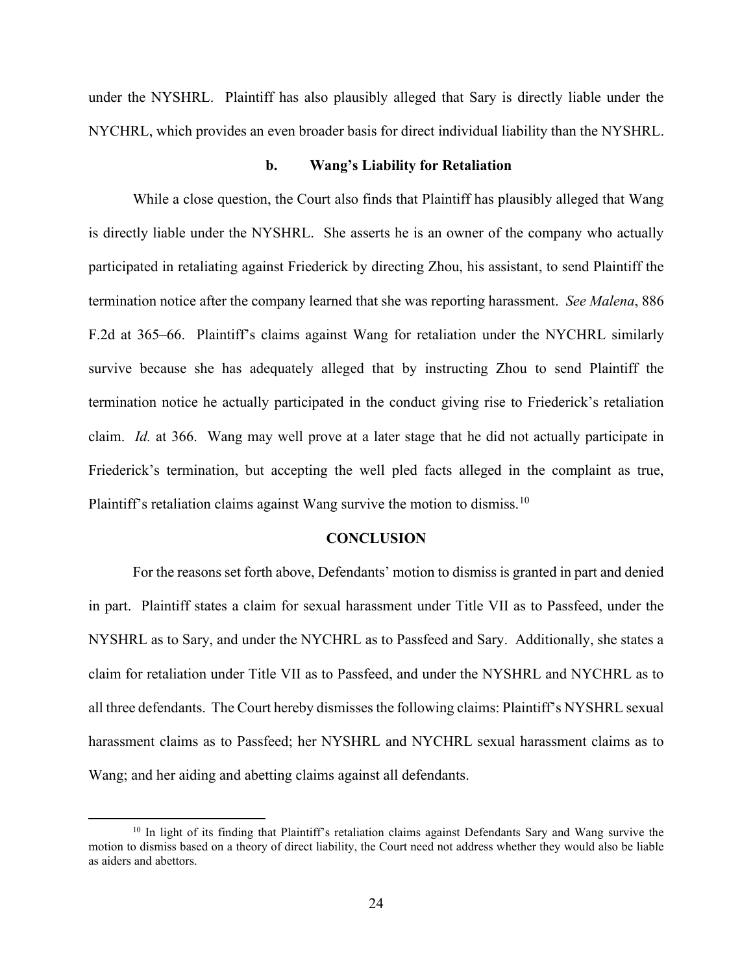under the NYSHRL. Plaintiff has also plausibly alleged that Sary is directly liable under the NYCHRL, which provides an even broader basis for direct individual liability than the NYSHRL.

## **b. Wang's Liability for Retaliation**

While a close question, the Court also finds that Plaintiff has plausibly alleged that Wang is directly liable under the NYSHRL. She asserts he is an owner of the company who actually participated in retaliating against Friederick by directing Zhou, his assistant, to send Plaintiff the termination notice after the company learned that she was reporting harassment. *See Malena*, 886 F.2d at 365–66. Plaintiff's claims against Wang for retaliation under the NYCHRL similarly survive because she has adequately alleged that by instructing Zhou to send Plaintiff the termination notice he actually participated in the conduct giving rise to Friederick's retaliation claim. *Id.* at 366. Wang may well prove at a later stage that he did not actually participate in Friederick's termination, but accepting the well pled facts alleged in the complaint as true, Plaintiff's retaliation claims against Wang survive the motion to dismiss.<sup>[10](#page-23-0)</sup>

#### **CONCLUSION**

For the reasons set forth above, Defendants' motion to dismiss is granted in part and denied in part. Plaintiff states a claim for sexual harassment under Title VII as to Passfeed, under the NYSHRL as to Sary, and under the NYCHRL as to Passfeed and Sary. Additionally, she states a claim for retaliation under Title VII as to Passfeed, and under the NYSHRL and NYCHRL as to all three defendants. The Court hereby dismisses the following claims: Plaintiff's NYSHRL sexual harassment claims as to Passfeed; her NYSHRL and NYCHRL sexual harassment claims as to Wang; and her aiding and abetting claims against all defendants.

<span id="page-23-0"></span><sup>&</sup>lt;sup>10</sup> In light of its finding that Plaintiff's retaliation claims against Defendants Sary and Wang survive the motion to dismiss based on a theory of direct liability, the Court need not address whether they would also be liable as aiders and abettors.